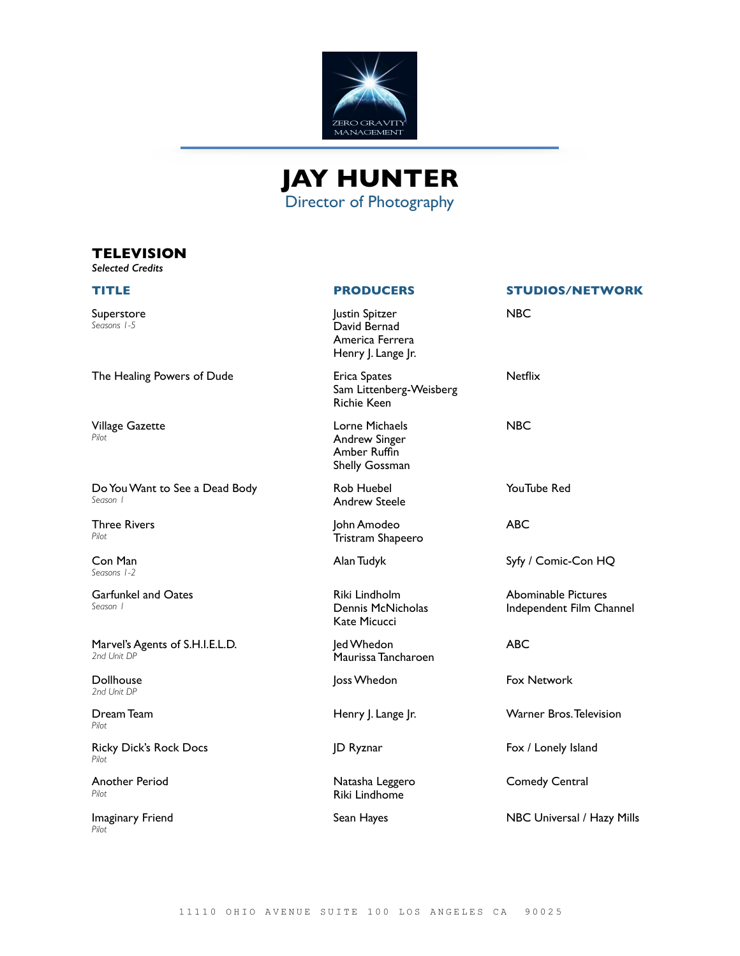



### **TELEVISION**

*Selected Credits*

*Seasons 1-5*

*Pilot*

*Season 1*

*Seasons 1-2*

*Season 1*

*Pilot*

*Pilot*

*Pilot*

*Pilot*

*Pilot*

**TITLE PRODUCERS STUDIOS/NETWORK** Superstore Justin Spitzer David Bernad America Ferrera Henry J. Lange Jr. NBC The Healing Powers of Dude Erica Spates Sam Littenberg-Weisberg Richie Keen **Netflix** Village Gazette Lorne Michaels Andrew Singer Amber Ruffin Shelly Gossman NBC Do You Want to See a Dead Body Rob Huebel Andrew Steele YouTube Red Three Rivers John Amodeo Tristram Shapeero ABC Con Man Alan Tudyk Syfy / Comic-Con HQ Garfunkel and Oates Riki Lindholm Dennis McNicholas Kate Micucci Abominable Pictures Independent Film Channel Marvel's Agents of S.H.I.E.L.D. *2nd Unit DP* Jed Whedon Maurissa Tancharoen ABC Dollhouse *2nd Unit DP* Joss Whedon **Fox Network** Dream Team Henry J. Lange Jr. Warner Bros. Television Ricky Dick's Rock Docs JD Ryznar **Fox / Lonely Island** Another Period Natasha Leggero Riki Lindhome Comedy Central Imaginary Friend Sean Hayes NBC Universal / Hazy Mills